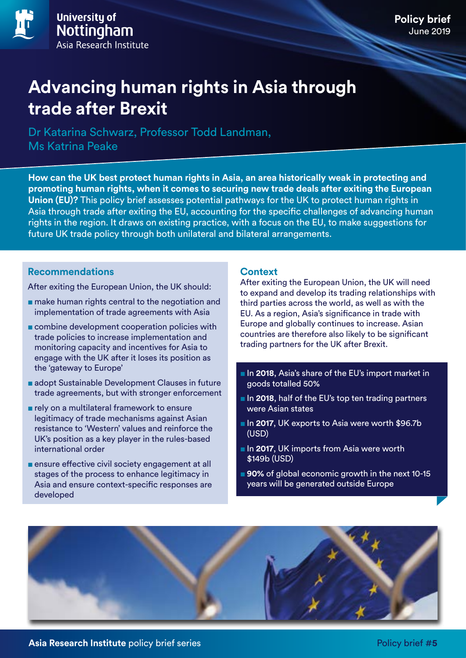## **Policy brief** June 2019

# **Advancing human rights in Asia through trade after Brexit**

Dr Katarina Schwarz, Professor Todd Landman, Ms Katrina Peake

**How can the UK best protect human rights in Asia, an area historically weak in protecting and promoting human rights, when it comes to securing new trade deals after exiting the European Union (EU)?** This policy brief assesses potential pathways for the UK to protect human rights in Asia through trade after exiting the EU, accounting for the specific challenges of advancing human rights in the region. It draws on existing practice, with a focus on the EU, to make suggestions for future UK trade policy through both unilateral and bilateral arrangements.

## **Recommendations**

After exiting the European Union, the UK should:

- make human rights central to the negotiation and implementation of trade agreements with Asia
- combine development cooperation policies with trade policies to increase implementation and monitoring capacity and incentives for Asia to engage with the UK after it loses its position as the 'gateway to Europe'
- adopt Sustainable Development Clauses in future trade agreements, but with stronger enforcement
- rely on a multilateral framework to ensure legitimacy of trade mechanisms against Asian resistance to 'Western' values and reinforce the UK's position as a key player in the rules-based international order
- ensure effective civil society engagement at all stages of the process to enhance legitimacy in Asia and ensure context-specific responses are developed

#### **Context**

After exiting the European Union, the UK will need to expand and develop its trading relationships with third parties across the world, as well as with the EU. As a region, Asia's significance in trade with Europe and globally continues to increase. Asian countries are therefore also likely to be significant trading partners for the UK after Brexit.

- In 2018, Asia's share of the EU's import market in goods totalled 50%
- In **2018**, half of the EU's top ten trading partners were Asian states
- In 2017, UK exports to Asia were worth \$96.7b (USD)
- In 2017, UK imports from Asia were worth \$149b (USD)
- 90% of global economic growth in the next 10-15 years will be generated outside Europe

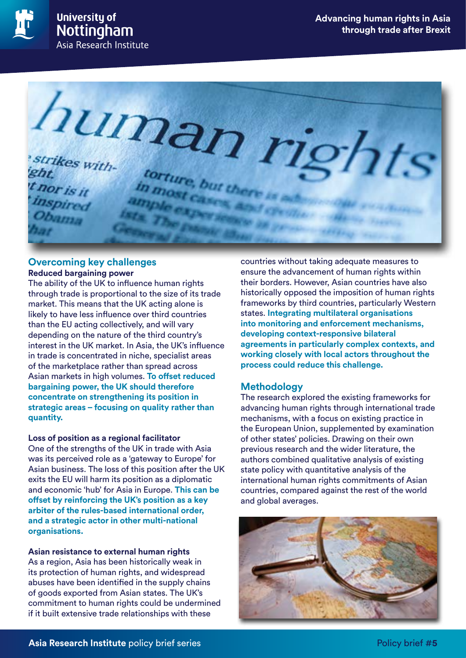



#### **Overcoming key challenges Reduced bargaining power**

The ability of the UK to influence human rights through trade is proportional to the size of its trade market. This means that the UK acting alone is likely to have less influence over third countries than the EU acting collectively, and will vary depending on the nature of the third country's interest in the UK market. In Asia, the UK's influence in trade is concentrated in niche, specialist areas of the marketplace rather than spread across Asian markets in high volumes. **To offset reduced bargaining power, the UK should therefore concentrate on strengthening its position in strategic areas – focusing on quality rather than quantity.**

#### **Loss of position as a regional facilitator**

One of the strengths of the UK in trade with Asia was its perceived role as a 'gateway to Europe' for Asian business. The loss of this position after the UK exits the EU will harm its position as a diplomatic and economic 'hub' for Asia in Europe. **This can be offset by reinforcing the UK's position as a key arbiter of the rules-based international order, and a strategic actor in other multi-national organisations.** 

**Asian resistance to external human rights** As a region, Asia has been historically weak in its protection of human rights, and widespread abuses have been identified in the supply chains of goods exported from Asian states. The UK's commitment to human rights could be undermined if it built extensive trade relationships with these

countries without taking adequate measures to ensure the advancement of human rights within their borders. However, Asian countries have also historically opposed the imposition of human rights frameworks by third countries, particularly Western states. **Integrating multilateral organisations into monitoring and enforcement mechanisms, developing context-responsive bilateral agreements in particularly complex contexts, and working closely with local actors throughout the process could reduce this challenge.** 

#### **Methodology**

The research explored the existing frameworks for advancing human rights through international trade mechanisms, with a focus on existing practice in the European Union, supplemented by examination of other states' policies. Drawing on their own previous research and the wider literature, the authors combined qualitative analysis of existing state policy with quantitative analysis of the international human rights commitments of Asian countries, compared against the rest of the world and global averages.

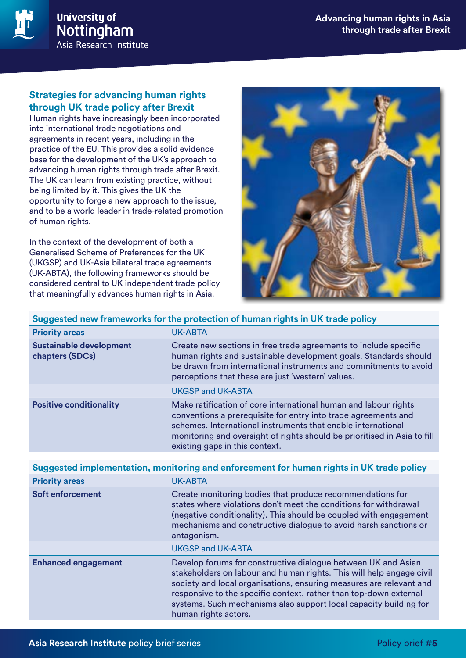

## **Strategies for advancing human rights through UK trade policy after Brexit**

Human rights have increasingly been incorporated into international trade negotiations and agreements in recent years, including in the practice of the EU. This provides a solid evidence base for the development of the UK's approach to advancing human rights through trade after Brexit. The UK can learn from existing practice, without being limited by it. This gives the UK the opportunity to forge a new approach to the issue, and to be a world leader in trade-related promotion of human rights.

In the context of the development of both a Generalised Scheme of Preferences for the UK (UKGSP) and UK-Asia bilateral trade agreements (UK-ABTA), the following frameworks should be considered central to UK independent trade policy that meaningfully advances human rights in Asia.



| Suggested new frameworks for the protection of human rights in UK trade policy |                                                                                                                                                                                                                                                                                                                 |  |
|--------------------------------------------------------------------------------|-----------------------------------------------------------------------------------------------------------------------------------------------------------------------------------------------------------------------------------------------------------------------------------------------------------------|--|
| <b>Priority areas</b>                                                          | UK-ABTA                                                                                                                                                                                                                                                                                                         |  |
| <b>Sustainable development</b><br>chapters (SDCs)                              | Create new sections in free trade agreements to include specific<br>human rights and sustainable development goals. Standards should<br>be drawn from international instruments and commitments to avoid<br>perceptions that these are just 'western' values.                                                   |  |
|                                                                                | <b>UKGSP and UK-ABTA</b>                                                                                                                                                                                                                                                                                        |  |
| <b>Positive conditionality</b>                                                 | Make ratification of core international human and labour rights<br>conventions a prerequisite for entry into trade agreements and<br>schemes. International instruments that enable international<br>monitoring and oversight of rights should be prioritised in Asia to fill<br>existing gaps in this context. |  |

| Suggested implementation, monitoring and enforcement for human rights in UK trade policy |  |
|------------------------------------------------------------------------------------------|--|
|------------------------------------------------------------------------------------------|--|

| <b>Priority areas</b>      | <b>UK-ABTA</b>                                                                                                                                                                                                                                                                                                                                                                 |
|----------------------------|--------------------------------------------------------------------------------------------------------------------------------------------------------------------------------------------------------------------------------------------------------------------------------------------------------------------------------------------------------------------------------|
| <b>Soft enforcement</b>    | Create monitoring bodies that produce recommendations for<br>states where violations don't meet the conditions for withdrawal<br>(negative conditionality). This should be coupled with engagement<br>mechanisms and constructive dialogue to avoid harsh sanctions or<br>antagonism.                                                                                          |
|                            | <b>UKGSP and UK-ABTA</b>                                                                                                                                                                                                                                                                                                                                                       |
| <b>Enhanced engagement</b> | Develop forums for constructive dialogue between UK and Asian<br>stakeholders on labour and human rights. This will help engage civil<br>society and local organisations, ensuring measures are relevant and<br>responsive to the specific context, rather than top-down external<br>systems. Such mechanisms also support local capacity building for<br>human rights actors. |